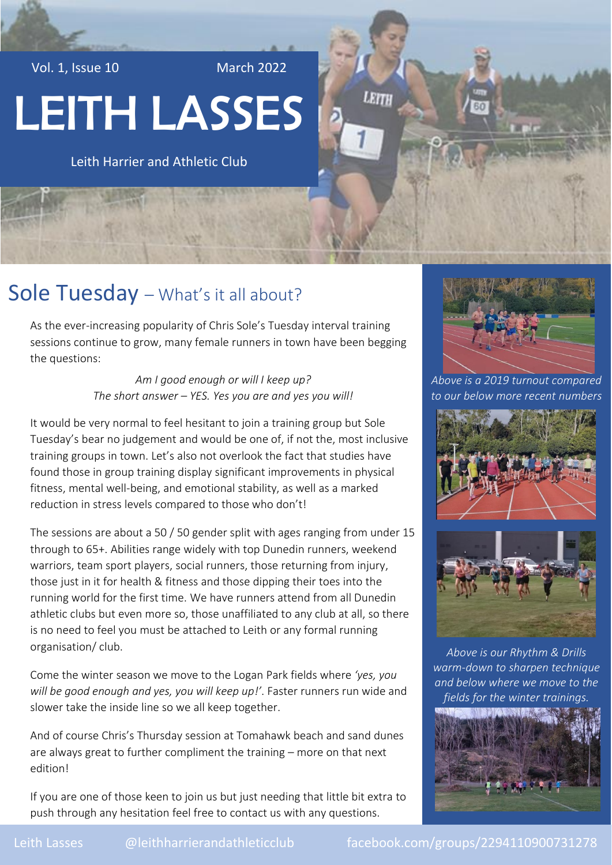Vol. 1, Issue 10 March 2022

# LEITH LASSES

Leith Harrier and Athletic Club

### Sole Tuesday - What's it all about?

As the ever-increasing popularity of Chris Sole's Tuesday interval training sessions continue to grow, many female runners in town have been begging the questions:

> *Am I good enough or will I keep up? The short answer – YES. Yes you are and yes you will!*

It would be very normal to feel hesitant to join a training group but Sole Tuesday's bear no judgement and would be one of, if not the, most inclusive training groups in town. Let's also not overlook the fact that studies have found those in group training display significant improvements in physical fitness, mental well-being, and emotional stability, as well as a marked reduction in stress levels compared to those who don't!

The sessions are about a 50 / 50 gender split with ages ranging from under 15 through to 65+. Abilities range widely with top Dunedin runners, weekend warriors, team sport players, social runners, those returning from injury, those just in it for health & fitness and those dipping their toes into the running world for the first time. We have runners attend from all Dunedin athletic clubs but even more so, those unaffiliated to any club at all, so there is no need to feel you must be attached to Leith or any formal running organisation/ club.

Come the winter season we move to the Logan Park fields where *'yes, you will be good enough and yes, you will keep up!'*. Faster runners run wide and slower take the inside line so we all keep together.

And of course Chris's Thursday session at Tomahawk beach and sand dunes are always great to further compliment the training – more on that next edition!

If you are one of those keen to join us but just needing that little bit extra to push through any hesitation feel free to contact us with any questions.



LEITH

*Above is a 2019 turnout compared to our below more recent numbers*





*Above is our Rhythm & Drills warm-down to sharpen technique and below where we move to the fields for the winter trainings.*

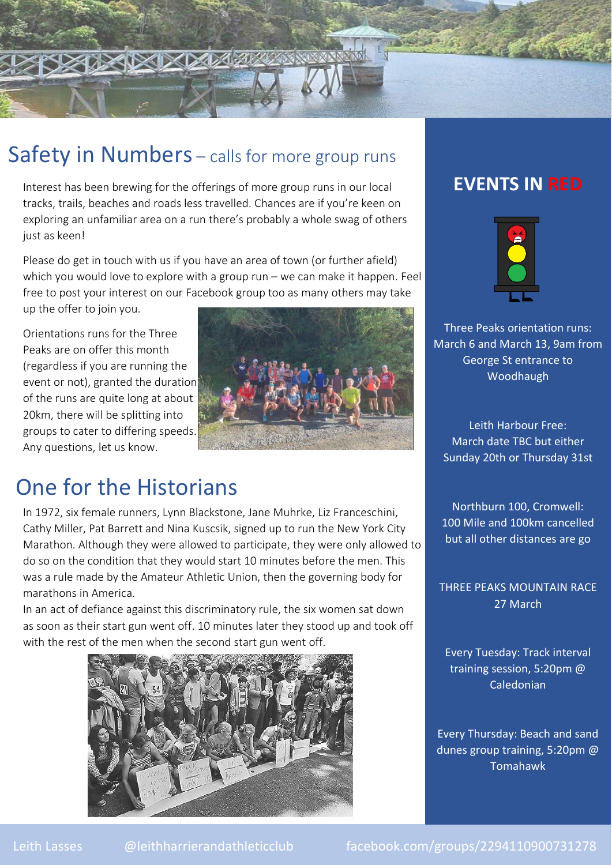

#### Safety in Numbers – calls for more group runs

Interest has been brewing for the offerings of more group runs in our local tracks, trails, beaches and roads less travelled. Chances are if you're keen on exploring an unfamiliar area on a run there's probably a whole swag of others just as keen!

Please do get in touch with us if you have an area of town (or further afield) which you would love to explore with a group run – we can make it happen. Feel free to post your interest on our Facebook group too as many others may take up the offer to join you.

Orientations runs for the Three Peaks are on offer this month (regardless if you are running the event or not), granted the duration of the runs are quite long at about 20km, there will be splitting into groups to cater to differing speeds. Any questions, let us know.



## One for the Historians

In 1972, six female runners, Lynn Blackstone, Jane Muhrke, Liz Franceschini, Cathy Miller, Pat Barrett and Nina Kuscsik, signed up to run the New York City Marathon. Although they were allowed to participate, they were only allowed to do so on the condition that they would start 10 minutes before the men. This was a rule made by the Amateur Athletic Union, then the governing body for marathons in America.

In an act of defiance against this discriminatory rule, the six women sat down as soon as their start gun went off. 10 minutes later they stood up and took off with the rest of the men when the second start gun went off.



#### **EVENTS IN RED**

**PARTICIPAL** 



Three Peaks orientation runs: March 6 and March 13, 9am from George St entrance to Woodhaugh

Leith Harbour Free: March date TBC but either Sunday 20th or Thursday 31st

Northburn 100, Cromwell: 100 Mile and 100km cancelled but all other distances are go

THREE PEAKS MOUNTAIN RACE 27 March

Every Tuesday: Track interval training session, 5:20pm @ Caledonian

Every Thursday: Beach and sand dunes group training, 5:20pm @ Tomahawk

Leith Lasses @leithharrierandathleticclub facebook.com/groups/2294110900731278